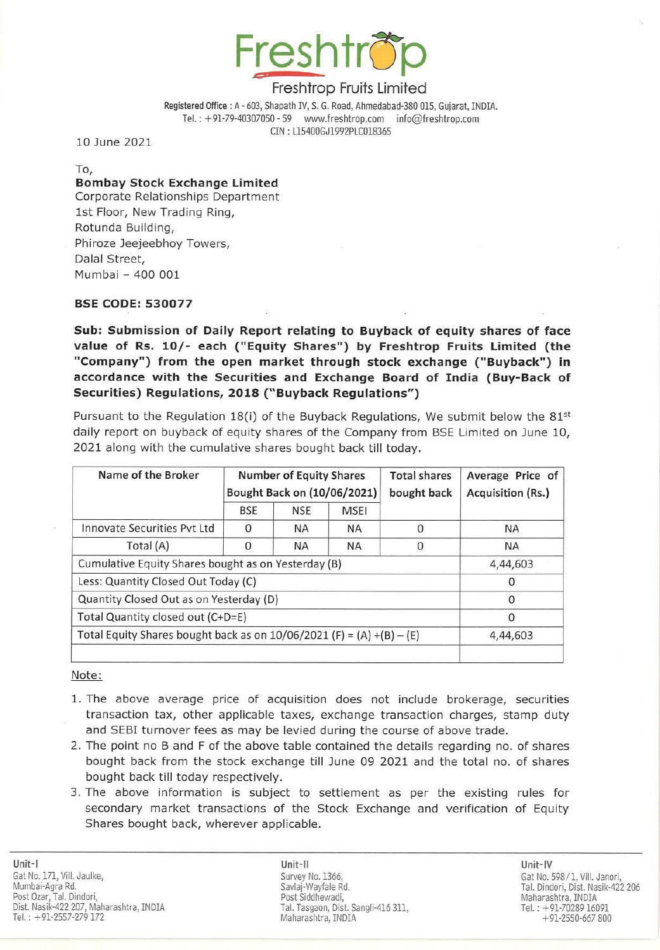

Registered Office: A· 603, Shapath IV, S. G. Road, Ahmedabad-380 015, Gujarat, INDIA. Tel.: +91-79-40307050 - 59 www.freshtrop.com info@freshtrop.com CIN : LlS400GJ1992PLCOlB365

10 June 2021

To,

## Bombay Stock Exchange Limited

Corporate Relationships Department 1st Floor, New Trading Ring, Rotunda Building, Phiroze Jeejeebhoy Towers, Dalal Street, Mumbai - 400 001

### BSE CODE: 530077

Sub: Submission of Daily Report relating to Buyback of equity shares of face value of Rs. 10/- each ("Equity Shares") by Freshtrop Fruits Limited (the "Company") from the open market through stock exchange ("Buyback") in accordance with the Securities and Exchange Board of India (Buy-Back of Securities) Regulations, 2018 ("Buyback Regulations")

Pursuant to the Regulation 18(i) of the Buyback Regulations, We submit below the 81st daily report on buyback of equity shares of the Company from BSE Limited on June 10, 2021 along with the cumulative shares bought back till today.

| Name of the Broker                                                      | <b>Number of Equity Shares</b><br>Bought Back on (10/06/2021) |            |             | <b>Total shares</b><br>bought back | Average Price of<br><b>Acquisition (Rs.)</b> |
|-------------------------------------------------------------------------|---------------------------------------------------------------|------------|-------------|------------------------------------|----------------------------------------------|
|                                                                         | BSE                                                           | <b>NSE</b> | <b>MSEI</b> |                                    |                                              |
| Innovate Securities Pvt Ltd                                             | $\Omega$                                                      | <b>NA</b>  | <b>NA</b>   |                                    | <b>NA</b>                                    |
| Total (A)                                                               | Ω                                                             | <b>NA</b>  | ΝA          |                                    | <b>NA</b>                                    |
| Cumulative Equity Shares bought as on Yesterday (B)                     |                                                               |            |             |                                    | 4,44,603                                     |
| Less: Quantity Closed Out Today (C)                                     |                                                               |            |             |                                    |                                              |
| Quantity Closed Out as on Yesterday (D)                                 |                                                               |            |             |                                    | $\Omega$                                     |
| Total Quantity closed out (C+D=E)                                       |                                                               |            |             |                                    | 0                                            |
| Total Equity Shares bought back as on $10/06/2021$ (F) = (A) +(B) - (E) |                                                               |            |             |                                    | 4,44,603                                     |
|                                                                         |                                                               |            |             |                                    |                                              |

### Note:

- 1. The above average price of acquisition does not include brokerage, securities transaction tax, other applicable taxes, exchange transaction charges, stamp duty and SEBI turnover fees as may be levied during the course of above trade.
- 2. The point no B and F of the above table contained the details regarding no. of shares bought back from the stock exchange till June 09 2021 and the total no. of shares bought back till today respectively.
- 3. The above information is subject to settlement as per the existing rules for secondary market transactions of the Stock Exchange and verification of Equity Shares bought back, wherever applicable.

Unit-Ii Unit-IV Survey No. 1366, Savlaj-Wayfale Rd. Post Siddhewadi, Tal. Tasgaon, Dist. Sangli-416 311, Maharashtra, INDIA